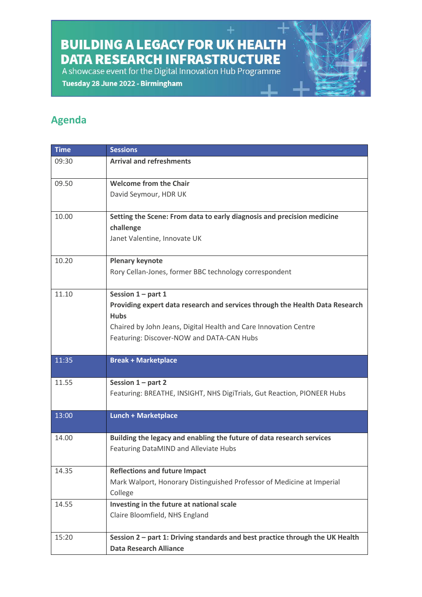**BUILDING A LEGACY FOR UK HEALTH DATA RESEARCH INFRASTRUCTURE** 

A showcase event for the Digital Innovation Hub Programme

Tuesday 28 June 2022 - Birmingham

## **Agenda**

| <b>Time</b> | <b>Sessions</b>                                                                     |
|-------------|-------------------------------------------------------------------------------------|
| 09:30       | <b>Arrival and refreshments</b>                                                     |
|             |                                                                                     |
| 09.50       | <b>Welcome from the Chair</b>                                                       |
|             | David Seymour, HDR UK                                                               |
|             |                                                                                     |
| 10.00       | Setting the Scene: From data to early diagnosis and precision medicine<br>challenge |
|             | Janet Valentine, Innovate UK                                                        |
|             |                                                                                     |
| 10.20       | <b>Plenary keynote</b>                                                              |
|             | Rory Cellan-Jones, former BBC technology correspondent                              |
|             |                                                                                     |
| 11.10       | Session $1$ – part 1                                                                |
|             | Providing expert data research and services through the Health Data Research        |
|             | <b>Hubs</b>                                                                         |
|             | Chaired by John Jeans, Digital Health and Care Innovation Centre                    |
|             | Featuring: Discover-NOW and DATA-CAN Hubs                                           |
| 11:35       | <b>Break + Marketplace</b>                                                          |
|             |                                                                                     |
| 11.55       | Session $1$ – part 2                                                                |
|             | Featuring: BREATHE, INSIGHT, NHS DigiTrials, Gut Reaction, PIONEER Hubs             |
|             |                                                                                     |
| 13:00       | <b>Lunch + Marketplace</b>                                                          |
| 14.00       | Building the legacy and enabling the future of data research services               |
|             | Featuring DataMIND and Alleviate Hubs                                               |
|             |                                                                                     |
| 14.35       | <b>Reflections and future Impact</b>                                                |
|             | Mark Walport, Honorary Distinguished Professor of Medicine at Imperial              |
|             | College                                                                             |
| 14.55       | Investing in the future at national scale                                           |
|             | Claire Bloomfield, NHS England                                                      |
|             |                                                                                     |
| 15:20       | Session 2 - part 1: Driving standards and best practice through the UK Health       |
|             | <b>Data Research Alliance</b>                                                       |